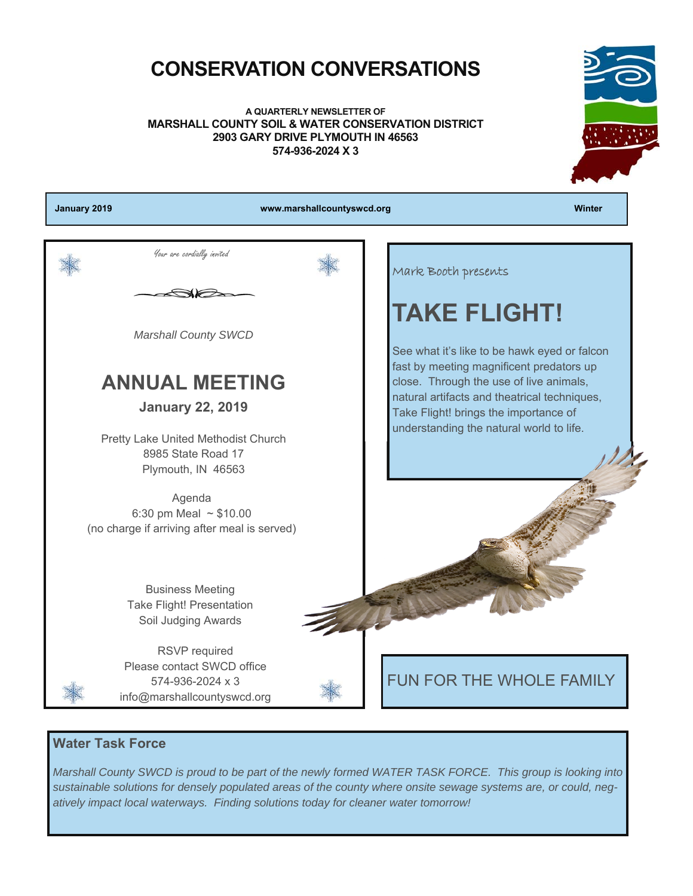### **CONSERVATION CONVERSATIONS**

**A QUARTERLY NEWSLETTER OF MARSHALL COUNTY SOIL & WATER CONSERVATION DISTRICT 2903 GARY DRIVE PLYMOUTH IN 46563 574-936-2024 X 3** 



### **Water Task Force**

*Marshall County SWCD is proud to be part of the newly formed WATER TASK FORCE. This group is looking into sustainable solutions for densely populated areas of the county where onsite sewage systems are, or could, negatively impact local waterways. Finding solutions today for cleaner water tomorrow!*